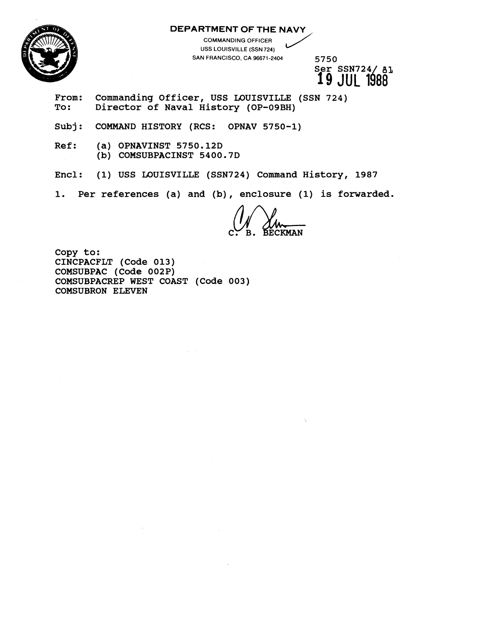

**DEPARTMENT OF THE NAVY** ,

COMMANDING OFFICER USS LOUISVILLE (SSN 724) SAN FRANCISCO. CA 96671-2404 **5750** 

Ser SSN724/ **81 19** JUL 1688

From: Commanding Officer, USS LOUISVILLE (SSN 724)<br>To: Director of Naval History (OP-09BH) **To: Director of Naval History (OP-09BH)** 

**Subj** : **COMMAND HISTORY (RCS: OPNAV 5750-1)** 

**Ref: (a) OPNAVINST 5750.12D (b) COMSUBPACINST 5400.7D** 

**Encl: (1) USS LOUISVILLE (SSN724) Command History, 1987** 

**1. Per references (a) and (b), enclosure (1) is forwarded.** 

**Copy to: CINCPACFLT (Code 013) COMSUBPAC (Code 002P) COMSUBPACREP WEST COAST (Code 003) COMSUBRON ELEVEN**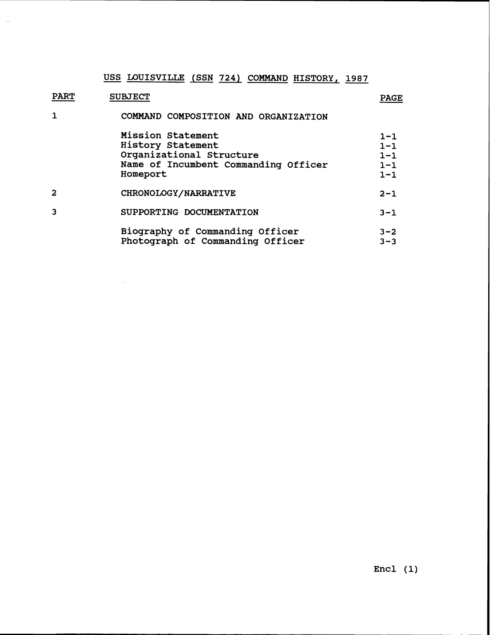**USS LOUISVILLE (SSN 724) COMMAND HISTORY, 1987** 

 $\sim$   $\sim$ 

| <b>PART</b>    | <b>SUBJECT</b>                                                                                                                | <b>PAGE</b>                                         |
|----------------|-------------------------------------------------------------------------------------------------------------------------------|-----------------------------------------------------|
| $\mathbf 1$    | COMMAND COMPOSITION AND ORGANIZATION                                                                                          |                                                     |
|                | <b>Mission Statement</b><br>History Statement<br>Organizational Structure<br>Name of Incumbent Commanding Officer<br>Homeport | $1 - 1$<br>$1 - 1$<br>$1 - 1$<br>$1 - 1$<br>$1 - 1$ |
| $\overline{2}$ | CHRONOLOGY/NARRATIVE                                                                                                          | $2 - 1$                                             |
| 3              | SUPPORTING DOCUMENTATION                                                                                                      |                                                     |
|                | Biography of Commanding Officer<br>Photograph of Commanding Officer                                                           | $3 - 2$<br>$3 - 3$                                  |

 $\sim$   $\sim$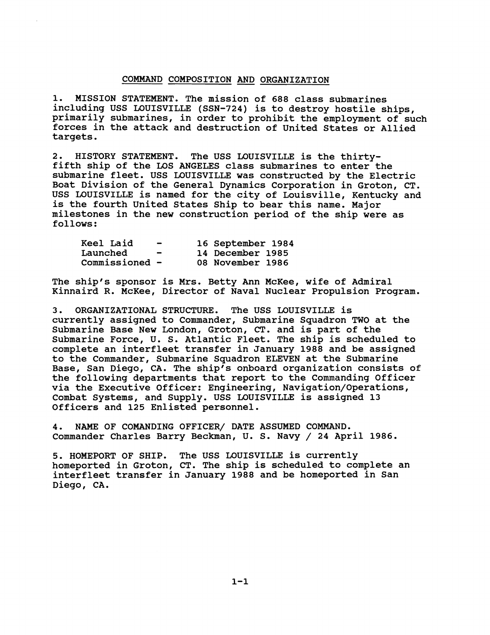## COMMAND COMPOSITION AND ORGANIZATION

**1.** MISSION STATEMENT. The mission of **688** class submarines including USS LOUISVILLE (SSN-724) is to destroy hostile ships, primarily submarines, in order to prohibit the employment of such forces in the attack and destruction of United States or Allied targets.

2. HISTORY STATEMENT. The USS LOUISVILLE is the thirtyfifth ship of the LOS ANGELES class submarines to enter the submarine fleet. USS LOUISVILLE was constructed by the Electric Boat Division of the General Dynamics Corporation in Groton, CT. USS LOUISVILLE is named for the city of Louisville, Kentucky and is the fourth United States Ship to bear this name. Major milestones in the new construction period of the ship were as follows:

| Keel Laid      | $\rightarrow$ | 16 September 1984 |
|----------------|---------------|-------------------|
| Launched       |               | 14 December 1985  |
| Commissioned - |               | 08 November 1986  |

The ship's sponsor is Mrs. Betty Ann McKee, wife of Admiral Kinnaird R. McKee, Director of Naval Nuclear Propulsion Program.

3. ORGANIZATIONAL STRUCTURE. The USS LOUISVILLE is currently assigned to Commander, Submarine Squadron TWO at the Submarine Base New London, Groton, CT. and is part of the Submarine Force, U. S. Atlantic Fleet. The ship is scheduled to complete an interfleet transfer in January **1988** and be assigned to the Commander, Submarine Squadron ELEVEN at the Submarine Base, San Diego, CA. The ship's onboard organization consists of the following departments that report to the Commanding Officer via the Executive Officer: Engineering, Navigation/Operations, Combat Systems, and Supply. USS LOUISVILLE is assigned **13**  Officers and **125** Enlisted personnel.

**4.** NAME OF COMANDING OFFICER/ DATE ASSUMED COMMAND. Commander Charles Barry Beckman, U. S. Navy / 24 April **1986.** 

**5.** HOMEPORT OF SHIP. The USS LOUISVILLE is currently homeported in Groton, CT. The ship is scheduled to complete an interfleet transfer in January **1988** and be homeported in San Diego, CA.